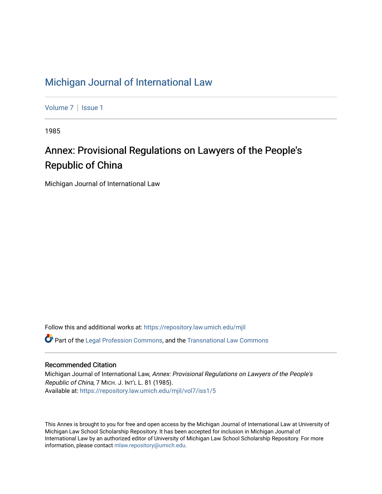# [Michigan Journal of International Law](https://repository.law.umich.edu/mjil)

[Volume 7](https://repository.law.umich.edu/mjil/vol7) | Issue 1

1985

# Annex: Provisional Regulations on Lawyers of the People's Republic of China

Michigan Journal of International Law

Follow this and additional works at: [https://repository.law.umich.edu/mjil](https://repository.law.umich.edu/mjil?utm_source=repository.law.umich.edu%2Fmjil%2Fvol7%2Fiss1%2F5&utm_medium=PDF&utm_campaign=PDFCoverPages) 

 $\bullet$  Part of the [Legal Profession Commons](http://network.bepress.com/hgg/discipline/1075?utm_source=repository.law.umich.edu%2Fmjil%2Fvol7%2Fiss1%2F5&utm_medium=PDF&utm_campaign=PDFCoverPages), and the [Transnational Law Commons](http://network.bepress.com/hgg/discipline/1123?utm_source=repository.law.umich.edu%2Fmjil%2Fvol7%2Fiss1%2F5&utm_medium=PDF&utm_campaign=PDFCoverPages)

# Recommended Citation

Michigan Journal of International Law, Annex: Provisional Regulations on Lawyers of the People's Republic of China, 7 MICH. J. INT'L L. 81 (1985). Available at: [https://repository.law.umich.edu/mjil/vol7/iss1/5](https://repository.law.umich.edu/mjil/vol7/iss1/5?utm_source=repository.law.umich.edu%2Fmjil%2Fvol7%2Fiss1%2F5&utm_medium=PDF&utm_campaign=PDFCoverPages)

This Annex is brought to you for free and open access by the Michigan Journal of International Law at University of Michigan Law School Scholarship Repository. It has been accepted for inclusion in Michigan Journal of International Law by an authorized editor of University of Michigan Law School Scholarship Repository. For more information, please contact [mlaw.repository@umich.edu](mailto:mlaw.repository@umich.edu).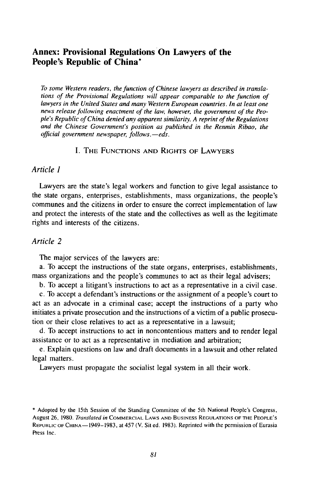# **Annex: Provisional Regulations On Lawyers of the People's Republic of China\***

*To some Western readers, the function of Chinese lawyers as described in translations of the Provisional Regulations will appear comparable to the function of lawyers in the United States and many Western European countries. In at least one news release following enactment of the law, however, the government of the People's Republic of China denied any apparent similarity. A reprint of the Regulations and the Chinese Government's position as published in the Renmin Ribao, the official government newspaper, follows.-eds.*

# I. THE **FUNCTIONS AND** RIGHTS OF LAWYERS

#### *Article I*

Lawyers are the state's legal workers and function to give legal assistance to the state organs, enterprises, establishments, mass organizations, the people's communes and the citizens in order to ensure the correct implementation of law and protect the interests of the state and the collectives as well as the legitimate rights and interests of the citizens.

#### *Article 2*

The major services of the lawyers are:

a. To accept the instructions of the state organs, enterprises, establishments, mass organizations and the people's communes to act as their legal advisers;

b. To accept a litigant's instructions to act as a representative in a civil case.

c. To accept a defendant's instructions or the assignment of a people's court to act as an advocate in a criminal case; accept the instructions of a party who initiates a private prosecution and the instructions of a victim of a public prosecution or their close relatives to act as a representative in a lawsuit;

d. To accept instructions to act in noncontentious matters and to render legal assistance or to act as a representative in mediation and arbitration;

e. Explain questions on law and draft documents in a lawsuit and other related legal matters.

Lawyers must propagate the socialist legal system in all their work.

<sup>\*</sup> Adopted by the 15th Session of the Standing Committee of the 5th National People's Congress, August 26, **1980.** *Translated in* COMMERCIAL **LAWS AND BUSINESS REGULATIONS** OF **THE PEOPLE'S** REPUBLIC OF **CHINA-** 1949-1983, at 457 (V. Sit ed. 1983). Reprinted with the permission of Eurasia Press Inc.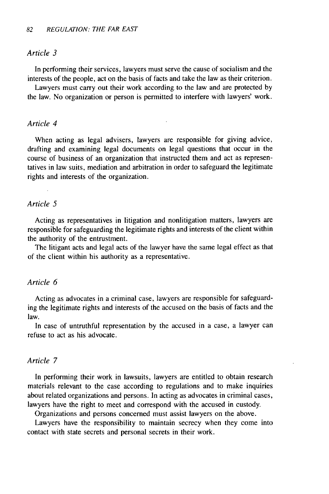#### *Article 3*

In performing their services, lawyers must serve the cause of socialism and the interests of the people, act on the basis of facts and take the law as their criterion.

Lawyers must carry out their work according, to the law and are protected by the law. No organization or person is permitted to interfere with lawyers' work.

#### *Article 4*

When acting as legal advisers, lawyers are responsible for giving advice, drafting and examining legal documents on legal questions that occur in the course of business of an organization that instructed them and act as representatives in law suits, mediation and arbitration in order to safeguard the legitimate rights and interests of the organization.

## *Article 5*

Acting as representatives in litigation and nonlitigation matters, lawyers are responsible for safeguarding the legitimate rights and interests of the client within the authority of the entrustment.

The litigant acts and legal acts of the lawyer have the same legal effect as that of the client within his authority as a representative.

#### *Article 6*

Acting as advocates in a criminal case, lawyers are responsible for safeguarding the legitimate rights and interests of the accused on the basis of facts and the law.

In case of untruthful representation by the accused in a case, a lawyer can refuse to act as his advocate.

#### *Article 7*

In performing their work in lawsuits, lawyers are entitled to obtain research materials relevant to the case according to regulations and to make inquiries about related organizations and persons. In acting as advocates in criminal cases, lawyers have the right to meet and correspond with the accused in custody.

Organizations and persons concerned must assist lawyers on the above.

Lawyers have the responsibility to maintain secrecy when they come into contact with state secrets and personal secrets in their work.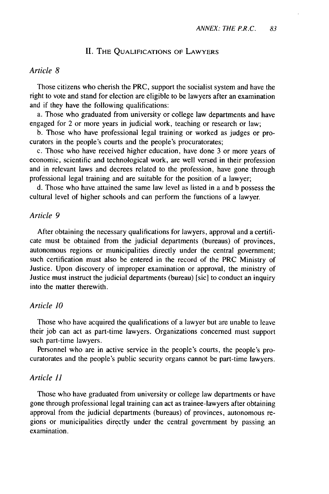#### **II.** THE **QUALIFICATIONS** OF LAWYERS

#### *Article 8*

Those citizens who cherish the PRC, support the socialist system and have the right to vote and stand for election are eligible to be lawyers after an examination and if they have the following qualifications:

a. Those who graduated from university or college law departments and have engaged for 2 or more years in judicial work, teaching or research or law;

b. Those who have professional legal training or worked as judges or procurators in the people's courts and the people's procuratorates;

c. Those who have received higher education, have done 3 or more years of economic, scientific and technological work, are well versed in their profession and in relevant laws and decrees related to the profession, have gone through professional legal training and are suitable for the position of a lawyer;

d. Those who have attained the same law level as listed in a and b possess the cultural level of higher schools and can perform the functions of a lawyer.

#### *Article 9*

After obtaining the necessary qualifications for lawyers, approval and a certificate must be obtained from the judicial departments (bureaus) of provinces, autonomous regions or municipalities directly under the central government; such certification must also be entered in the record of the PRC Ministry of Justice. Upon discovery of improper examination or approval, the ministry of Justice must instruct the judicial departments (bureau) [sic] to conduct an inquiry into the matter therewith.

#### *Article 10*

Those who have acquired the qualifications of a lawyer but are unable to leave their job can act as part-time lawyers. Organizations concerned must support such part-time lawyers.

Personnel who are in active service in the people's courts, the people's procuratorates and the people's public security organs cannot be part-time lawyers.

#### *Article 11*

Those who have graduated from university or college law departments or have gone through professional legal training can act as trainee-lawyers after obtaining approval from the judicial departments (bureaus) of provinces, autonomous regions or municipalities directly under the central government by passing an examination.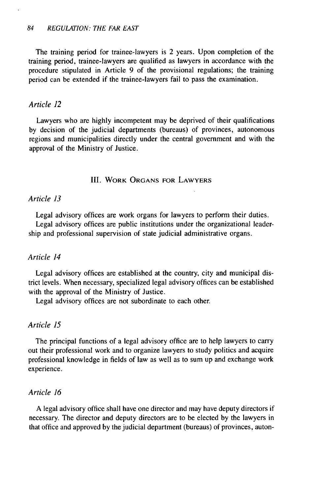The training period for trainee-lawyers is 2 years. Upon completion of the training period, trainee-lawyers are qualified as lawyers in accordance with the procedure stipulated in Article 9 of the provisional regulations; the training period can be extended if the trainee-lawyers fail to pass the examination.

#### *Article 12*

Lawyers who are highly incompetent may be deprived of their qualifications by decision of the judicial departments (bureaus) of provinces, autonomous regions and municipalities directly under the central government and with the approval of the Ministry of Justice.

#### **III.** WORK **ORGANS** FOR LAWYERS

#### *Article 13*

Legal advisory offices are work organs for lawyers to perform their duties. Legal advisory offices are public institutions under the organizational leader-

ship and professional supervision of state judicial administrative organs.

#### *Article 14*

Legal advisory offices are established at the country, city and municipal district levels. When necessary, specialized legal advisory offices can be established with the approval of the Ministry of Justice.

Legal advisory offices are not subordinate to each other.

#### *Article 15*

The principal functions of a legal advisory office are to help lawyers to carry out their professional work and to organize lawyers to study politics and acquire professional knowledge in fields of law as well as to sum up and exchange work experience.

#### *Article 16*

A legal advisory office shall have one director and may have deputy directors if necessary. The director and deputy directors are to be elected by the lawyers in that office and approved by the judicial department (bureaus) of provinces, auton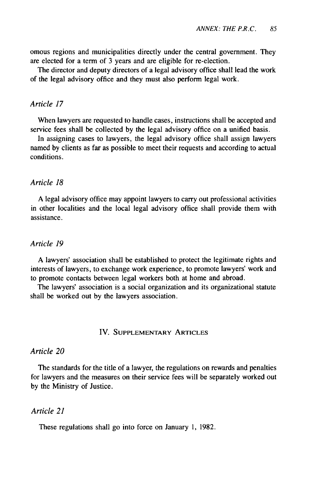omous regions and municipalities directly under the central government. They are elected for a term of 3 years and are eligible for re-election.

The director and deputy directors of a legal advisory office shall lead the work of the legal advisory office and they must also perform legal work.

#### *Article 17*

When lawyers are requested to handle cases, instructions shall be accepted and service fees shall be collected by the legal advisory office on a unified basis.

In assigning cases to lawyers, the legal advisory office shall assign lawyers named by clients as far as possible to meet their requests and according to actual conditions.

### *Article 18*

A legal advisory office may appoint lawyers to carry out professional activities in other localities and the local legal advisory office shall provide them with assistance.

#### *Article 19*

A lawyers' association shall be established to protect the legitimate rights and interests of lawyers, to exchange work experience, to promote lawyers' work and to promote contacts between legal workers both at home and abroad.

The lawyers' association is a social organization and its organizational statute shall be worked out by the lawyers association.

#### IV. **SUPPLEMENTARY** ARTICLES

## *Article 20*

The standards for the title of a lawyer, the regulations on rewards and penalties for lawyers and the measures on their service fees will be separately worked out by the Ministry of Justice.

#### *Article 21*

These regulations shall go into force on January 1, 1982.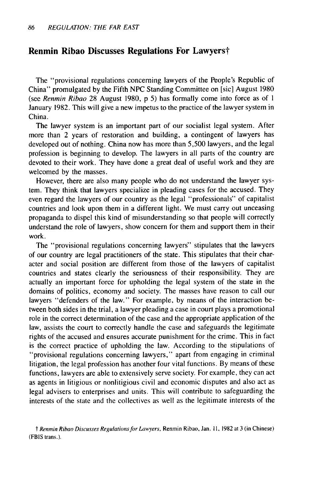# **Renmin Ribao Discusses Regulations For Lawyerst**

The "provisional regulations concerning lawyers of the People's Republic of China" promulgated **by** the Fifth **NPC** Standing Committee on [sic] August **1980** (see Renmin Ribao **28** August **1980,** p **5)** has formally come into force as of **I** January **1982.** This will give a new impetus to the practice of the lawyer system in China.

The lawyer system is an important part of our socialist legal system. After more than 2 years of restoration and building, a contingent of lawyers has developed out of nothing. China now has more than **5,500** lawyers, and the legal profession is beginning to develop. The lawyers in all parts of the country are devoted to their work. They have done a great deal of useful work and they are welcomed **by** the masses.

However, there are also many people who do not understand the lawyer system. They think that lawyers specialize in pleading cases for the accused. They even regard the lawyers of our country as the legal "professionals" of capitalist countries and look upon them in a different light. We must carry out unceasing propaganda to dispel this kind of misunderstanding so that people will correctly understand the role of lawyers, show concern for them and support them in their work.

The "provisional regulations concerning lawyers" stipulates that the lawyers of our country are legal practitioners of the state. This stipulates that their character and social position are different from those of the lawyers of capitalist countries and states clearly the seriousness of their responsibility. They are actually an important force for upholding the legal system of the state in the domains of politics, economy and society. The masses have reason to call our lawyers "defenders of the law." For example, **by** means of the interaction between both sides in the trial, a lawyer pleading a case in court plays a promotional role in the correct determination of the case and the appropriate application of the law, assists the court to correctly handle the case and safeguards the legitimate rights of the accused and ensures accurate punishment for the crime. This in fact is the correct practice of upholding the law. According to the stipulations of "provisional regulations concerning lawyers," apart from engaging in criminal litigation, the legal profession has another four vital functions. By means of these functions, lawyers are able to extensively serve society. For example, they can act as agents in litigious or nonlitigious civil and economic disputes and also act as legal advisers to enterprises and units. This will contribute to safeguarding the interests of the state and the collectives as well as the legitimate interests of the

t Renmin Ribao Discusses Regulations for Lawyers, Renmin Ribao, Jan. **I1,** 1982 at 3 (in Chinese) (FBIS trans.).